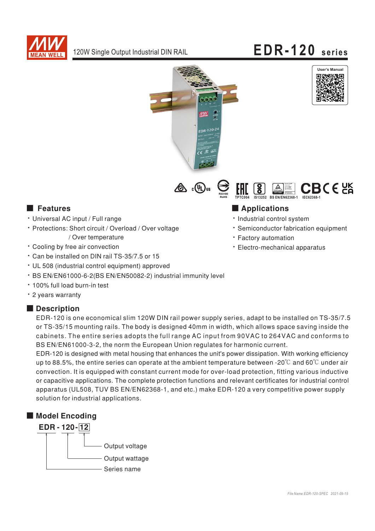

# EDR-120 series







### **Executer** Features

- · Universal AC input / Full range
- · Protections: Short circuit / Overload / Over voltage / Over temperature
- Cooling by free air convection
- \* Can be installed on DIN rail TS-35/7.5 or 15
- UL 508 (industrial control equipment) approved
- · BS EN/EN61000-6-2(BS EN/EN50082-2) industrial immunity level
- . 100% full load burn-in test
- \* 2 years warranty

#### Description

EDR-120 is one economical slim 120W DIN rail power supply series, adapt to be installed on TS-35/7.5 or TS-35/15 mounting rails. The body is designed 40mm in width, which allows space saving inside the cabinets. The entire series adopts the full range AC input from 90VAC to 264VAC and conforms to BS EN/EN61000-3-2, the norm the European Union regulates for harmonic current.

EDR-120 is designed with metal housing that enhances the unit's power dissipation. With working efficiency up to 88.5%, the entire series can operate at the ambient temperature between -20°C and 60°C under air convection. It is equipped with constant current mode for over-load protection, fitting various inductive or capacitive applications. The complete protection functions and relevant certificates for industrial control apparatus (UL508, TUV BS EN/EN62368-1, and etc.) make EDR-120 a very competitive power supply solution for industrial applications.



## Applications

- · Industrial control system
- · Semiconductor fabrication equipment
- · Factory automation
- · Electro-mechanical apparatus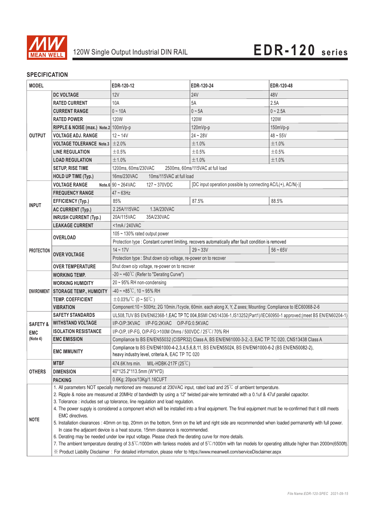

### **SPECIFICATION**

| <b>MODEL</b>                                  |                                                                                                                                                                                      | EDR-120-12                                                                                                                                                | EDR-120-24                                                                                           | EDR-120-48 |
|-----------------------------------------------|--------------------------------------------------------------------------------------------------------------------------------------------------------------------------------------|-----------------------------------------------------------------------------------------------------------------------------------------------------------|------------------------------------------------------------------------------------------------------|------------|
| <b>OUTPUT</b>                                 | <b>DC VOLTAGE</b>                                                                                                                                                                    | <b>12V</b>                                                                                                                                                | <b>24V</b>                                                                                           | 48V        |
|                                               | <b>RATED CURRENT</b>                                                                                                                                                                 | 10A                                                                                                                                                       | 5A                                                                                                   | 2.5A       |
|                                               | <b>CURRENT RANGE</b>                                                                                                                                                                 | $0 - 10A$                                                                                                                                                 | $0 - 5A$                                                                                             | $0 - 2.5A$ |
|                                               | <b>RATED POWER</b>                                                                                                                                                                   | <b>120W</b>                                                                                                                                               | <b>120W</b>                                                                                          | 120W       |
|                                               | RIPPLE & NOISE (max.) Note.2 100mVp-p                                                                                                                                                |                                                                                                                                                           | 120mVp-p                                                                                             | 150mVp-p   |
|                                               | <b>VOLTAGE ADJ. RANGE</b>                                                                                                                                                            | $12 - 14V$                                                                                                                                                | $24 - 28V$                                                                                           | $48 - 55V$ |
|                                               | <b>VOLTAGE TOLERANCE</b> Note.3 $\pm$ 2.0%                                                                                                                                           |                                                                                                                                                           | ±1.0%                                                                                                | ±1.0%      |
|                                               | <b>LINE REGULATION</b>                                                                                                                                                               | $\pm 0.5\%$                                                                                                                                               | ±0.5%                                                                                                | ±0.5%      |
|                                               | <b>LOAD REGULATION</b>                                                                                                                                                               | ±1.0%                                                                                                                                                     | ±1.0%                                                                                                | ±1.0%      |
|                                               | <b>SETUP, RISE TIME</b>                                                                                                                                                              | 1200ms, 60ms/230VAC<br>2500ms, 60ms/115VAC at full load                                                                                                   |                                                                                                      |            |
|                                               | <b>HOLD UP TIME (Typ.)</b>                                                                                                                                                           | 16ms/230VAC<br>10ms/115VAC at full load                                                                                                                   |                                                                                                      |            |
| <b>INPUT</b>                                  | <b>VOLTAGE RANGE</b>                                                                                                                                                                 | Note.6 $90 \sim 264$ VAC<br>$127 - 370$ VDC                                                                                                               | [DC input operation possible by connecting AC/L(+), AC/N(-)]                                         |            |
|                                               | <b>FREQUENCY RANGE</b>                                                                                                                                                               | $47 \sim 63$ Hz                                                                                                                                           |                                                                                                      |            |
|                                               | <b>EFFICIENCY (Typ.)</b>                                                                                                                                                             | 85%                                                                                                                                                       | 87.5%                                                                                                | 88.5%      |
|                                               | <b>AC CURRENT (Typ.)</b>                                                                                                                                                             | 1.3A/230VAC<br>2.25A/115VAC                                                                                                                               |                                                                                                      |            |
|                                               | <b>INRUSH CURRENT (Typ.)</b>                                                                                                                                                         | 35A/230VAC<br>20A/115VAC                                                                                                                                  |                                                                                                      |            |
|                                               | <b>LEAKAGE CURRENT</b>                                                                                                                                                               | <1mA/240VAC                                                                                                                                               |                                                                                                      |            |
| <b>PROTECTION</b>                             | <b>OVERLOAD</b>                                                                                                                                                                      | 105 ~ 130% rated output power                                                                                                                             |                                                                                                      |            |
|                                               |                                                                                                                                                                                      |                                                                                                                                                           | Protection type : Constant current limiting, recovers automatically after fault condition is removed |            |
|                                               | <b>OVER VOLTAGE</b>                                                                                                                                                                  | $14 - 17V$                                                                                                                                                | $29 - 33V$                                                                                           | $56 - 65V$ |
|                                               |                                                                                                                                                                                      | Protection type : Shut down o/p voltage, re-power on to recover                                                                                           |                                                                                                      |            |
|                                               | <b>OVER TEMPERATURE</b>                                                                                                                                                              | Shut down o/p voltage, re-power on to recover                                                                                                             |                                                                                                      |            |
| ENVIRONMENT                                   | <b>WORKING TEMP.</b>                                                                                                                                                                 | -20 $\sim$ +60°C (Refer to "Derating Curve")                                                                                                              |                                                                                                      |            |
|                                               | <b>WORKING HUMIDITY</b>                                                                                                                                                              | $20 \sim 95\%$ RH non-condensing                                                                                                                          |                                                                                                      |            |
|                                               | <b>STORAGE TEMP., HUMIDITY</b>                                                                                                                                                       | $-40 \sim +85^{\circ}$ C, 10 ~ 95% RH                                                                                                                     |                                                                                                      |            |
|                                               | <b>TEMP. COEFFICIENT</b>                                                                                                                                                             | $\pm$ 0.03%/°C (0~50°C)                                                                                                                                   |                                                                                                      |            |
|                                               | <b>VIBRATION</b>                                                                                                                                                                     | Component:10 ~ 500Hz, 2G 10min./1cycle, 60min. each along X, Y, Z axes; Mounting: Compliance to IEC60068-2-6                                              |                                                                                                      |            |
| <b>SAFETY &amp;</b><br><b>EMC</b><br>(Note 4) | <b>SAFETY STANDARDS</b>                                                                                                                                                              | UL508, TUV BS EN/EN62368-1, EAC TP TC 004, BSMI CNS14336-1, IS13252(Part1)/IEC60950-1 approved; (meet BS EN/EN60204-1)                                    |                                                                                                      |            |
|                                               | <b>WITHSTAND VOLTAGE</b>                                                                                                                                                             | I/P-O/P:3KVAC I/P-FG:2KVAC O/P-FG:0.5KVAC                                                                                                                 |                                                                                                      |            |
|                                               | <b>ISOLATION RESISTANCE</b>                                                                                                                                                          | I/P-O/P, I/P-FG, O/P-FG:>100M Ohms / 500VDC / 25°C/70% RH                                                                                                 |                                                                                                      |            |
|                                               | <b>EMC EMISSION</b>                                                                                                                                                                  | Compliance to BS EN/EN55032 (CISPR32) Class A, BS EN/EN61000-3-2,-3, EAC TP TC 020, CNS13438 Class A                                                      |                                                                                                      |            |
|                                               | <b>EMC IMMUNITY</b>                                                                                                                                                                  | Compliance to BS EN/EN61000-4-2,3,4,5,6,8,11, BS EN/EN55024, BS EN/EN61000-6-2 (BS EN/EN50082-2),<br>heavy industry level, criteria A, EAC TP TC 020      |                                                                                                      |            |
| <b>OTHERS</b>                                 | <b>MTBF</b>                                                                                                                                                                          | 474.6K hrs min. MIL-HDBK-217F (25°C)                                                                                                                      |                                                                                                      |            |
|                                               | <b>DIMENSION</b>                                                                                                                                                                     | 40*125.2*113.5mm (W*H*D)                                                                                                                                  |                                                                                                      |            |
|                                               | <b>PACKING</b>                                                                                                                                                                       | 0.6Kg; 20pcs/13Kg/1.16CUFT                                                                                                                                |                                                                                                      |            |
| <b>NOTE</b>                                   | 1. All parameters NOT specially mentioned are measured at 230VAC input, rated load and 25°C of ambient temperature.                                                                  |                                                                                                                                                           |                                                                                                      |            |
|                                               | 2. Ripple & noise are measured at 20MHz of bandwidth by using a 12" twisted pair-wire terminated with a 0.1uf & 47uf parallel capacitor.                                             |                                                                                                                                                           |                                                                                                      |            |
|                                               | 3. Tolerance : includes set up tolerance, line regulation and load regulation.                                                                                                       |                                                                                                                                                           |                                                                                                      |            |
|                                               | 4. The power supply is considered a component which will be installed into a final equipment. The final equipment must be re-confirmed that it still meets<br><b>EMC</b> directives. |                                                                                                                                                           |                                                                                                      |            |
|                                               | 5. Installation clearances : 40mm on top, 20mm on the bottom, 5mm on the left and right side are recommended when loaded permanently with full power.                                |                                                                                                                                                           |                                                                                                      |            |
|                                               | In case the adjacent device is a heat source, 15mm clearance is recommended.                                                                                                         |                                                                                                                                                           |                                                                                                      |            |
|                                               | 6. Derating may be needed under low input voltage. Please check the derating curve for more details.                                                                                 |                                                                                                                                                           |                                                                                                      |            |
|                                               |                                                                                                                                                                                      | 7. The ambient temperature derating of 3.5°C/1000m with fanless models and of 5°C/1000m with fan models for operating altitude higher than 2000m(6500ft). |                                                                                                      |            |
|                                               | X Product Liability Disclaimer: For detailed information, please refer to https://www.meanwell.com/serviceDisclaimer.aspx                                                            |                                                                                                                                                           |                                                                                                      |            |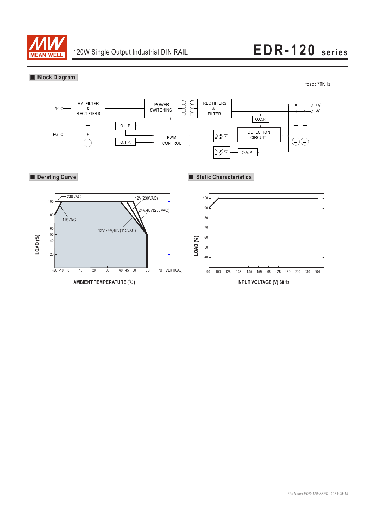

## 120W Single Output Industrial DIN RAIL **EDR-120 series**